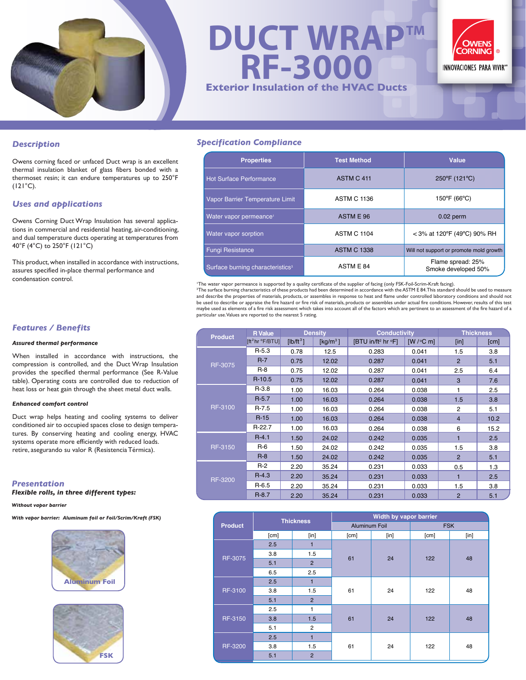

**DUCT WRAP™ RF-3000 Exterior Insulation of the HVAC Ducts**



#### *Description*

Owens corning faced or unfaced Duct wrap is an excellent thermal insulation blanket of glass fibers bonded with a thermoset resin; it can endure temperatures up to 250°F  $(121°C)$ .

#### *Uses and applications*

Owens Corning Duct Wrap Insulation has several applications in commercial and residential heating, air-conditioning, and dual temperature ducts operating at temperatures from 40°F (4°C) to 250°F (121°C)

This product, when installed in accordance with instructions, assures specified in-place thermal performance and condensation control.

## *Features / Benefits*

#### *Assured thermal performance*

When installed in accordance with instructions, the compression is controlled, and the Duct Wrap Insulation provides the specified thermal performance (See R-Value table). Operating costs are controlled due to reduction of heat loss or heat gain through the sheet metal duct walls.

#### *Enhanced comfort control*

Duct wrap helps heating and cooling systems to deliver conditioned air to occupied spaces close to design temperatures. By conserving heating and cooling energy, HVAC systems operate more efficiently with reduced loads. retire, asegurando su valor R (Resistencia Térmica).

# *Presentation*

# *Flexible rolls, in three different types:*

#### *Without vapor barrier*

#### *With vapor barrier: Aluminum foil or Foil/Scrim/Kraft (FSK)*





### *Specification Compliance*

| <b>Properties</b>                            | <b>Test Method</b> | Value                                    |  |
|----------------------------------------------|--------------------|------------------------------------------|--|
| <b>Hot Surface Performance</b>               | ASTM C 411         | 250°F (121°C)                            |  |
| Vapor Barrier Temperature Limit              | <b>ASTM C 1136</b> | $150^{\circ}$ F (66 $^{\circ}$ C)        |  |
| Water vapor permeance <sup>®</sup>           | ASTM E 96          | $0.02$ perm                              |  |
| Water vapor sorption                         | <b>ASTM C 1104</b> | $<$ 3% at 120°F (49°C) 90% RH            |  |
| <b>Fungi Resistance</b>                      | <b>ASTM C 1338</b> | Will not support or promote mold growth  |  |
| Surface burning characteristics <sup>2</sup> | ASTM E 84          | Flame spread: 25%<br>Smoke developed 50% |  |

'The water vapor permeance is supported by a quality certificate of the supplier of facing (only FSK-Foil-Scrim-Kraft facing).<br><sup>2</sup>The surface burning characteristics of these products had been determined in accordance with and describe the properties of materials, products, or assembles in response to heat and flame under controlled laboratory conditions and should not<br>be used to describe or appraise the fire hazard or fire risk of materials maybe used as elements of a fire risk assessment which takes into account all of the factors which are pertinent to an assessment of the fire hazard of a particular use. Values are reported to the nearest 5 rating.

| <b>Product</b> | <b>R</b> Value              | <b>Density</b> |             | <b>Conductivity</b>                        |          | <b>Thickness</b>            |      |
|----------------|-----------------------------|----------------|-------------|--------------------------------------------|----------|-----------------------------|------|
|                | [ft <sup>2</sup> hr °F/BTU] | $[lb/ft^3]$    | [ $kg/m3$ ] | $[BTU$ in/ft <sup>2</sup> hr $^{\circ}$ F] | [W/°C m] | $\lceil \mathsf{in} \rceil$ | [cm] |
| <b>RF-3075</b> | $R-5.3$                     | 0.78           | 12.5        | 0.283                                      | 0.041    | 1.5                         | 3.8  |
|                | $R-7$                       | 0.75           | 12.02       | 0.287                                      | 0.041    | $\overline{2}$              | 5.1  |
|                | $R-8$                       | 0.75           | 12.02       | 0.287                                      | 0.041    | 2.5                         | 6.4  |
|                | $R-10.5$                    | 0.75           | 12.02       | 0.287                                      | 0.041    | 3                           | 7.6  |
| RF-3100        | $R-3.8$                     | 1.00           | 16.03       | 0.264                                      | 0.038    | 1                           | 2.5  |
|                | $R-5.7$                     | 1.00           | 16.03       | 0.264                                      | 0.038    | 1.5                         | 3.8  |
|                | $R-7.5$                     | 1.00           | 16.03       | 0.264                                      | 0.038    | 2                           | 5.1  |
|                | $R-15$                      | 1.00           | 16.03       | 0.264                                      | 0.038    | $\overline{4}$              | 10.2 |
|                | R-22.7                      | 1.00           | 16.03       | 0.264                                      | 0.038    | 6                           | 15.2 |
| RF-3150        | $R - 4.1$                   | 1.50           | 24.02       | 0.242                                      | 0.035    | 1                           | 2.5  |
|                | $R-6$                       | 1.50           | 24.02       | 0.242                                      | 0.035    | 1.5                         | 3.8  |
|                | $R-8$                       | 1.50           | 24.02       | 0.242                                      | 0.035    | $\overline{2}$              | 5.1  |
| <b>RF-3200</b> | $R-2$                       | 2.20           | 35.24       | 0.231                                      | 0.033    | 0.5                         | 1.3  |
|                | $R - 4.3$                   | 2.20           | 35.24       | 0.231                                      | 0.033    | 1                           | 2.5  |
|                | $R-6.5$                     | 2.20           | 35.24       | 0.231                                      | 0.033    | 1.5                         | 3.8  |
|                | $R-8.7$                     | 2.20           | 35.24       | 0.231                                      | 0.033    | $\overline{2}$              | 5.1  |

| <b>Product</b> | <b>Thickness</b> |                | Width by vapor barrier |      |            |      |  |
|----------------|------------------|----------------|------------------------|------|------------|------|--|
|                |                  |                | <b>Aluminum Foil</b>   |      | <b>FSK</b> |      |  |
|                | [cm]             | [in]           | [cm]                   | [in] | [cm]       | [in] |  |
| RF-3075        | 2.5              | 1              |                        | 24   | 122        | 48   |  |
|                | 3.8              | 1.5            |                        |      |            |      |  |
|                | 5.1              | $\overline{2}$ | 61                     |      |            |      |  |
|                | 6.5              | 2.5            |                        |      |            |      |  |
| RF-3100        | 2.5              | 1              | 61                     | 24   | 122        | 48   |  |
|                | 3.8              | 1.5            |                        |      |            |      |  |
|                | 5.1              | $\overline{2}$ |                        |      |            |      |  |
| RF-3150        | 2.5              | 1              |                        | 24   | 122        | 48   |  |
|                | 3.8              | 1.5            | 61                     |      |            |      |  |
|                | 5.1              | 2              |                        |      |            |      |  |
| RF-3200        | 2.5              | $\blacksquare$ | 61                     | 24   | 122        | 48   |  |
|                | 3.8              | 1.5            |                        |      |            |      |  |
|                | 5.1              | $\overline{2}$ |                        |      |            |      |  |